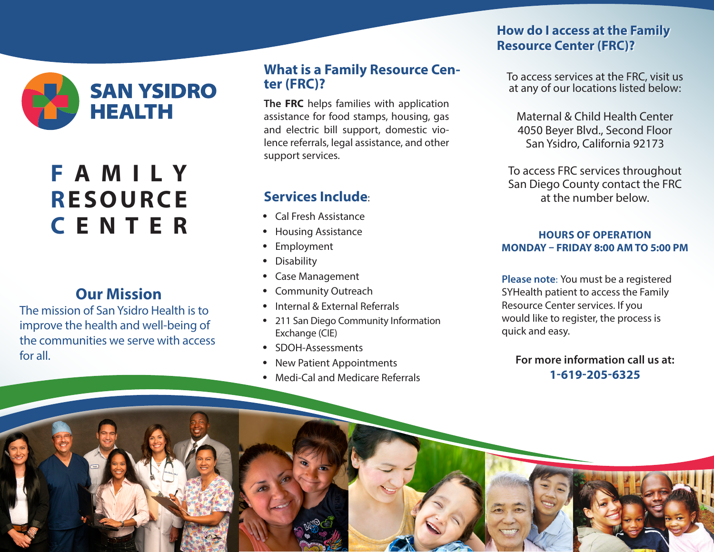

# **F A M I L Y RESOURCE C E N T E R**

## **Our Mission**

The mission of San Ysidro Health is to improve the health and well-being of the communities we serve with access for all.

### **What is a Family Resource Center (FRC)?**

**The FRC** helps families with application assistance for food stamps, housing, gas and electric bill support, domestic violence referrals, legal assistance, and other support services.

## **Services Include**:

- Cal Fresh Assistance
- Housing Assistance
- Employment
- Disability
- Case Management
- Community Outreach
- Internal & External Referrals
- 211 San Diego Community Information Exchange (CIE)
- SDOH-Assessments
- New Patient Appointments
- Medi-Cal and Medicare Referrals

### **How do I access at the Family Resource Center (FRC)?**

To access services at the FRC, visit us at any of our locations listed below:

Maternal & Child Health Center 4050 Beyer Blvd., Second Floor San Ysidro, California 92173

To access FRC services throughout San Diego County contact the FRC at the number below.

#### **HOURS OF OPERATION MONDAY – FRIDAY 8:00 AM TO 5:00 PM**

**Please note**: You must be a registered SYHealth patient to access the Family Resource Center services. If you would like to register, the process is quick and easy.

**For more information call us at: 1-619-205-6325**